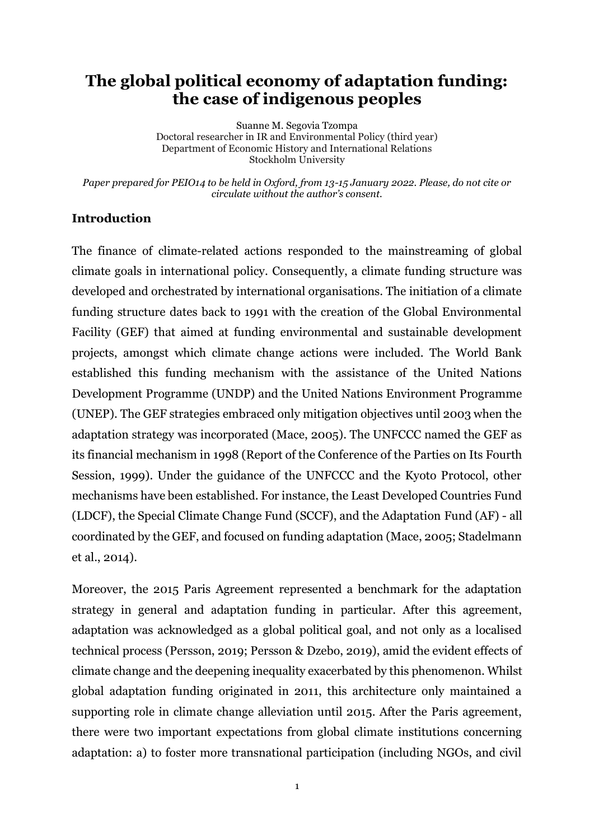## **The global political economy of adaptation funding: the case of indigenous peoples**

Suanne M. Segovia Tzompa Doctoral researcher in IR and Environmental Policy (third year) Department of Economic History and International Relations Stockholm University

*Paper prepared for PEIO14 to be held in Oxford, from 13-15 January 2022. Please, do not cite or circulate without the author's consent.*

#### **Introduction**

The finance of climate-related actions responded to the mainstreaming of global climate goals in international policy. Consequently, a climate funding structure was developed and orchestrated by international organisations. The initiation of a climate funding structure dates back to 1991 with the creation of the Global Environmental Facility (GEF) that aimed at funding environmental and sustainable development projects, amongst which climate change actions were included. The World Bank established this funding mechanism with the assistance of the United Nations Development Programme (UNDP) and the United Nations Environment Programme (UNEP). The GEF strategies embraced only mitigation objectives until 2003 when the adaptation strategy was incorporated (Mace, 2005). The UNFCCC named the GEF as its financial mechanism in 1998 (Report of the Conference of the Parties on Its Fourth Session, 1999). Under the guidance of the UNFCCC and the Kyoto Protocol, other mechanisms have been established. For instance, the Least Developed Countries Fund (LDCF), the Special Climate Change Fund (SCCF), and the Adaptation Fund (AF) - all coordinated by the GEF, and focused on funding adaptation (Mace, 2005; Stadelmann et al., 2014).

Moreover, the 2015 Paris Agreement represented a benchmark for the adaptation strategy in general and adaptation funding in particular. After this agreement, adaptation was acknowledged as a global political goal, and not only as a localised technical process (Persson, 2019; Persson & Dzebo, 2019), amid the evident effects of climate change and the deepening inequality exacerbated by this phenomenon. Whilst global adaptation funding originated in 2011, this architecture only maintained a supporting role in climate change alleviation until 2015. After the Paris agreement, there were two important expectations from global climate institutions concerning adaptation: a) to foster more transnational participation (including NGOs, and civil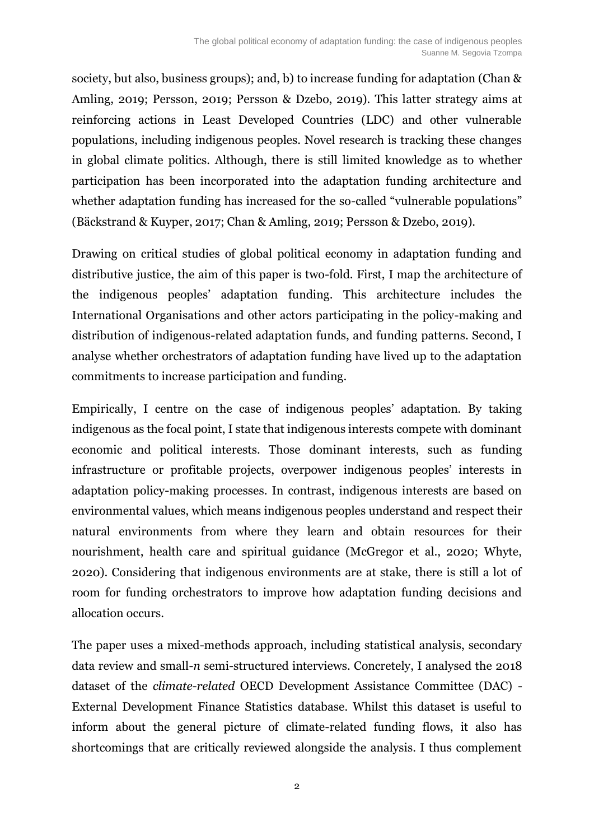society, but also, business groups); and, b) to increase funding for adaptation (Chan & Amling, 2019; Persson, 2019; Persson & Dzebo, 2019). This latter strategy aims at reinforcing actions in Least Developed Countries (LDC) and other vulnerable populations, including indigenous peoples. Novel research is tracking these changes in global climate politics. Although, there is still limited knowledge as to whether participation has been incorporated into the adaptation funding architecture and whether adaptation funding has increased for the so-called "vulnerable populations" (Bäckstrand & Kuyper, 2017; Chan & Amling, 2019; Persson & Dzebo, 2019).

Drawing on critical studies of global political economy in adaptation funding and distributive justice, the aim of this paper is two-fold. First, I map the architecture of the indigenous peoples' adaptation funding. This architecture includes the International Organisations and other actors participating in the policy-making and distribution of indigenous-related adaptation funds, and funding patterns. Second, I analyse whether orchestrators of adaptation funding have lived up to the adaptation commitments to increase participation and funding.

Empirically, I centre on the case of indigenous peoples' adaptation. By taking indigenous as the focal point, I state that indigenous interests compete with dominant economic and political interests. Those dominant interests, such as funding infrastructure or profitable projects, overpower indigenous peoples' interests in adaptation policy-making processes. In contrast, indigenous interests are based on environmental values, which means indigenous peoples understand and respect their natural environments from where they learn and obtain resources for their nourishment, health care and spiritual guidance (McGregor et al., 2020; Whyte, 2020). Considering that indigenous environments are at stake, there is still a lot of room for funding orchestrators to improve how adaptation funding decisions and allocation occurs.

The paper uses a mixed-methods approach, including statistical analysis, secondary data review and small-*n* semi-structured interviews. Concretely, I analysed the 2018 dataset of the *climate-related* OECD Development Assistance Committee (DAC) - External Development Finance Statistics database. Whilst this dataset is useful to inform about the general picture of climate-related funding flows, it also has shortcomings that are critically reviewed alongside the analysis. I thus complement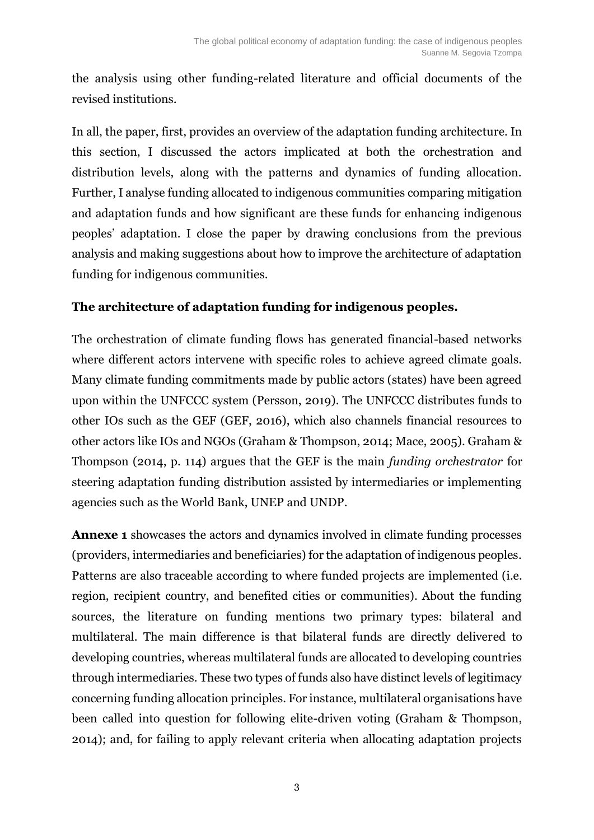the analysis using other funding-related literature and official documents of the revised institutions.

In all, the paper, first, provides an overview of the adaptation funding architecture. In this section, I discussed the actors implicated at both the orchestration and distribution levels, along with the patterns and dynamics of funding allocation. Further, I analyse funding allocated to indigenous communities comparing mitigation and adaptation funds and how significant are these funds for enhancing indigenous peoples' adaptation. I close the paper by drawing conclusions from the previous analysis and making suggestions about how to improve the architecture of adaptation funding for indigenous communities.

### **The architecture of adaptation funding for indigenous peoples.**

The orchestration of climate funding flows has generated financial-based networks where different actors intervene with specific roles to achieve agreed climate goals. Many climate funding commitments made by public actors (states) have been agreed upon within the UNFCCC system (Persson, 2019). The UNFCCC distributes funds to other IOs such as the GEF (GEF, 2016), which also channels financial resources to other actors like IOs and NGOs (Graham & Thompson, 2014; Mace, 2005). Graham & Thompson (2014, p. 114) argues that the GEF is the main *funding orchestrator* for steering adaptation funding distribution assisted by intermediaries or implementing agencies such as the World Bank, UNEP and UNDP.

**Annexe 1** showcases the actors and dynamics involved in climate funding processes (providers, intermediaries and beneficiaries) for the adaptation of indigenous peoples. Patterns are also traceable according to where funded projects are implemented (i.e. region, recipient country, and benefited cities or communities). About the funding sources, the literature on funding mentions two primary types: bilateral and multilateral. The main difference is that bilateral funds are directly delivered to developing countries, whereas multilateral funds are allocated to developing countries through intermediaries. These two types of funds also have distinct levels of legitimacy concerning funding allocation principles. For instance, multilateral organisations have been called into question for following elite-driven voting (Graham & Thompson, 2014); and, for failing to apply relevant criteria when allocating adaptation projects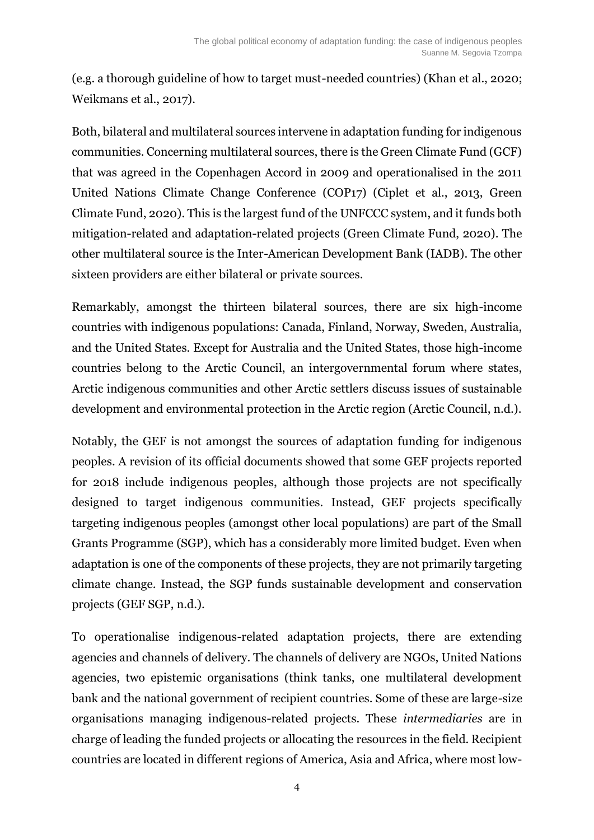(e.g. a thorough guideline of how to target must-needed countries) (Khan et al., 2020; Weikmans et al., 2017).

Both, bilateral and multilateral sources intervene in adaptation funding for indigenous communities. Concerning multilateral sources, there is the Green Climate Fund (GCF) that was agreed in the Copenhagen Accord in 2009 and operationalised in the 2011 United Nations Climate Change Conference (COP17) (Ciplet et al., 2013, Green Climate Fund, 2020). This is the largest fund of the UNFCCC system, and it funds both mitigation-related and adaptation-related projects (Green Climate Fund, 2020). The other multilateral source is the Inter-American Development Bank (IADB). The other sixteen providers are either bilateral or private sources.

Remarkably, amongst the thirteen bilateral sources, there are six high-income countries with indigenous populations: Canada, Finland, Norway, Sweden, Australia, and the United States. Except for Australia and the United States, those high-income countries belong to the Arctic Council, an intergovernmental forum where states, Arctic indigenous communities and other Arctic settlers discuss issues of sustainable development and environmental protection in the Arctic region (Arctic Council, n.d.).

Notably, the GEF is not amongst the sources of adaptation funding for indigenous peoples. A revision of its official documents showed that some GEF projects reported for 2018 include indigenous peoples, although those projects are not specifically designed to target indigenous communities. Instead, GEF projects specifically targeting indigenous peoples (amongst other local populations) are part of the Small Grants Programme (SGP), which has a considerably more limited budget. Even when adaptation is one of the components of these projects, they are not primarily targeting climate change. Instead, the SGP funds sustainable development and conservation projects (GEF SGP, n.d.).

To operationalise indigenous-related adaptation projects, there are extending agencies and channels of delivery. The channels of delivery are NGOs, United Nations agencies, two epistemic organisations (think tanks, one multilateral development bank and the national government of recipient countries. Some of these are large-size organisations managing indigenous-related projects. These *intermediaries* are in charge of leading the funded projects or allocating the resources in the field. Recipient countries are located in different regions of America, Asia and Africa, where most low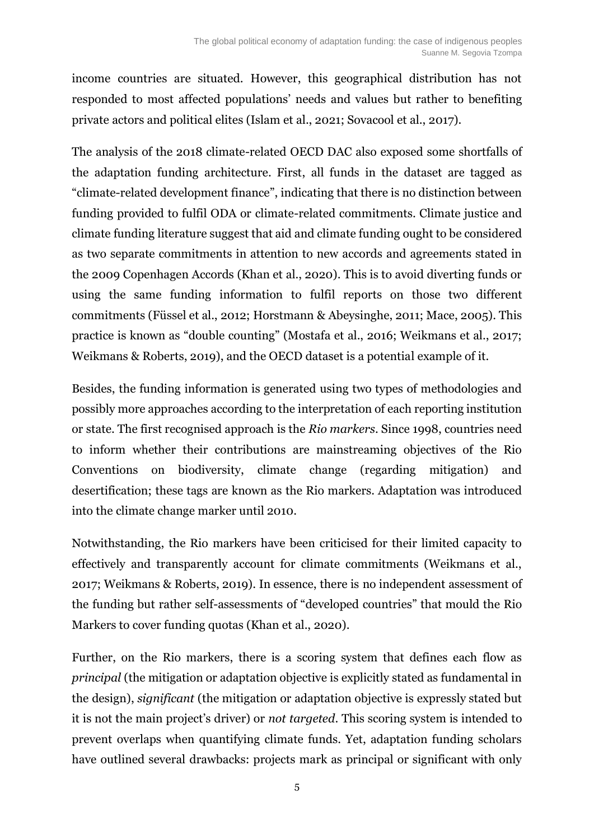income countries are situated. However, this geographical distribution has not responded to most affected populations' needs and values but rather to benefiting private actors and political elites (Islam et al., 2021; Sovacool et al., 2017).

The analysis of the 2018 climate-related OECD DAC also exposed some shortfalls of the adaptation funding architecture. First, all funds in the dataset are tagged as "climate-related development finance", indicating that there is no distinction between funding provided to fulfil ODA or climate-related commitments. Climate justice and climate funding literature suggest that aid and climate funding ought to be considered as two separate commitments in attention to new accords and agreements stated in the 2009 Copenhagen Accords (Khan et al., 2020). This is to avoid diverting funds or using the same funding information to fulfil reports on those two different commitments (Füssel et al., 2012; Horstmann & Abeysinghe, 2011; Mace, 2005). This practice is known as "double counting" (Mostafa et al., 2016; Weikmans et al., 2017; Weikmans & Roberts, 2019), and the OECD dataset is a potential example of it.

Besides, the funding information is generated using two types of methodologies and possibly more approaches according to the interpretation of each reporting institution or state. The first recognised approach is the *Rio markers*. Since 1998, countries need to inform whether their contributions are mainstreaming objectives of the Rio Conventions on biodiversity, climate change (regarding mitigation) and desertification; these tags are known as the Rio markers. Adaptation was introduced into the climate change marker until 2010.

Notwithstanding, the Rio markers have been criticised for their limited capacity to effectively and transparently account for climate commitments (Weikmans et al., 2017; Weikmans & Roberts, 2019). In essence, there is no independent assessment of the funding but rather self-assessments of "developed countries" that mould the Rio Markers to cover funding quotas (Khan et al., 2020).

Further, on the Rio markers, there is a scoring system that defines each flow as *principal* (the mitigation or adaptation objective is explicitly stated as fundamental in the design), *significant* (the mitigation or adaptation objective is expressly stated but it is not the main project's driver) or *not targeted*. This scoring system is intended to prevent overlaps when quantifying climate funds. Yet, adaptation funding scholars have outlined several drawbacks: projects mark as principal or significant with only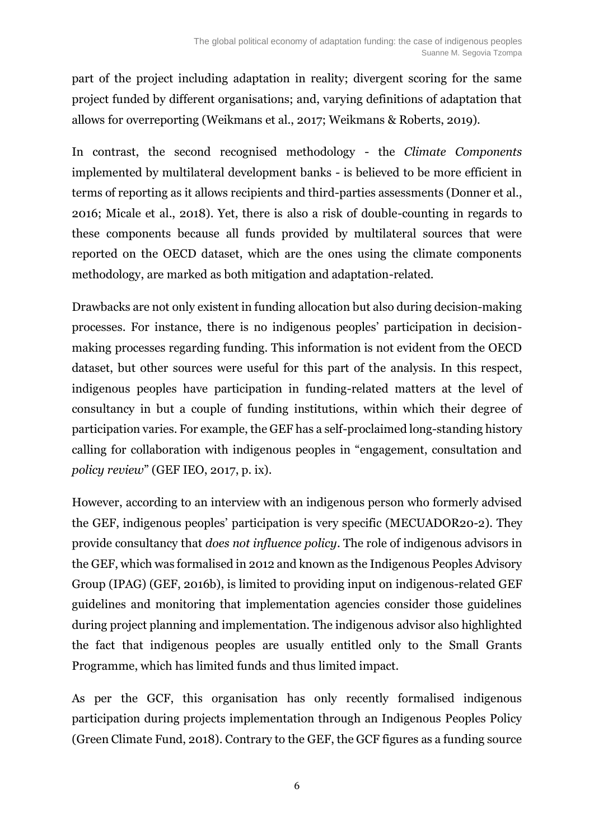part of the project including adaptation in reality; divergent scoring for the same project funded by different organisations; and, varying definitions of adaptation that allows for overreporting (Weikmans et al., 2017; Weikmans & Roberts, 2019).

In contrast, the second recognised methodology - the *Climate Components* implemented by multilateral development banks - is believed to be more efficient in terms of reporting as it allows recipients and third-parties assessments (Donner et al., 2016; Micale et al., 2018). Yet, there is also a risk of double-counting in regards to these components because all funds provided by multilateral sources that were reported on the OECD dataset, which are the ones using the climate components methodology, are marked as both mitigation and adaptation-related.

Drawbacks are not only existent in funding allocation but also during decision-making processes. For instance, there is no indigenous peoples' participation in decisionmaking processes regarding funding. This information is not evident from the OECD dataset, but other sources were useful for this part of the analysis. In this respect, indigenous peoples have participation in funding-related matters at the level of consultancy in but a couple of funding institutions, within which their degree of participation varies. For example, the GEF has a self-proclaimed long-standing history calling for collaboration with indigenous peoples in "engagement, consultation and *policy review*" (GEF IEO, 2017, p. ix).

However, according to an interview with an indigenous person who formerly advised the GEF, indigenous peoples' participation is very specific (MECUADOR20-2). They provide consultancy that *does not influence policy*. The role of indigenous advisors in the GEF, which was formalised in 2012 and known as the Indigenous Peoples Advisory Group (IPAG) (GEF, 2016b), is limited to providing input on indigenous-related GEF guidelines and monitoring that implementation agencies consider those guidelines during project planning and implementation. The indigenous advisor also highlighted the fact that indigenous peoples are usually entitled only to the Small Grants Programme, which has limited funds and thus limited impact.

As per the GCF, this organisation has only recently formalised indigenous participation during projects implementation through an Indigenous Peoples Policy (Green Climate Fund, 2018). Contrary to the GEF, the GCF figures as a funding source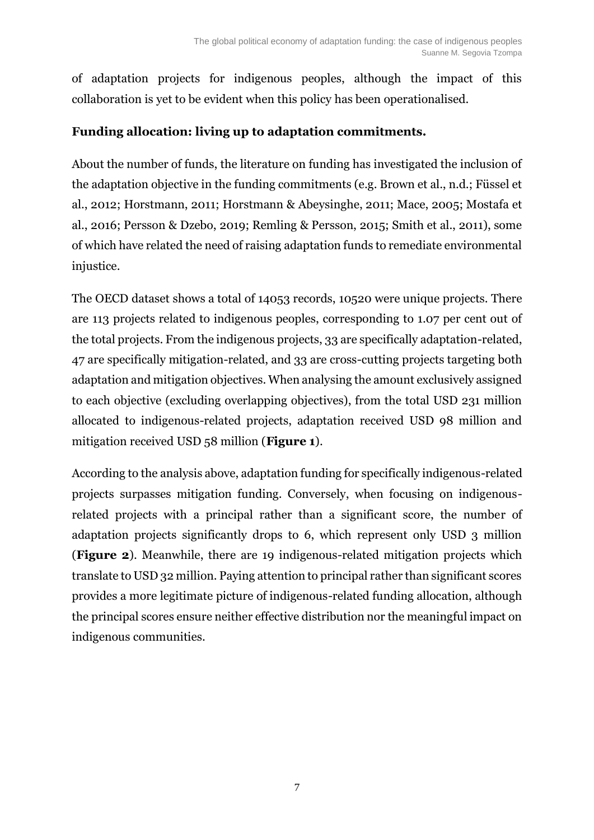of adaptation projects for indigenous peoples, although the impact of this collaboration is yet to be evident when this policy has been operationalised.

## **Funding allocation: living up to adaptation commitments.**

About the number of funds, the literature on funding has investigated the inclusion of the adaptation objective in the funding commitments (e.g. Brown et al., n.d.; Füssel et al., 2012; Horstmann, 2011; Horstmann & Abeysinghe, 2011; Mace, 2005; Mostafa et al., 2016; Persson & Dzebo, 2019; Remling & Persson, 2015; Smith et al., 2011), some of which have related the need of raising adaptation funds to remediate environmental injustice.

The OECD dataset shows a total of 14053 records, 10520 were unique projects. There are 113 projects related to indigenous peoples, corresponding to 1.07 per cent out of the total projects. From the indigenous projects, 33 are specifically adaptation-related, 47 are specifically mitigation-related, and 33 are cross-cutting projects targeting both adaptation and mitigation objectives. When analysing the amount exclusively assigned to each objective (excluding overlapping objectives), from the total USD 231 million allocated to indigenous-related projects, adaptation received USD 98 million and mitigation received USD 58 million (**Figure 1**).

According to the analysis above, adaptation funding for specifically indigenous-related projects surpasses mitigation funding. Conversely, when focusing on indigenousrelated projects with a principal rather than a significant score, the number of adaptation projects significantly drops to 6, which represent only USD 3 million (**Figure 2**). Meanwhile, there are 19 indigenous-related mitigation projects which translate to USD 32 million. Paying attention to principal rather than significant scores provides a more legitimate picture of indigenous-related funding allocation, although the principal scores ensure neither effective distribution nor the meaningful impact on indigenous communities.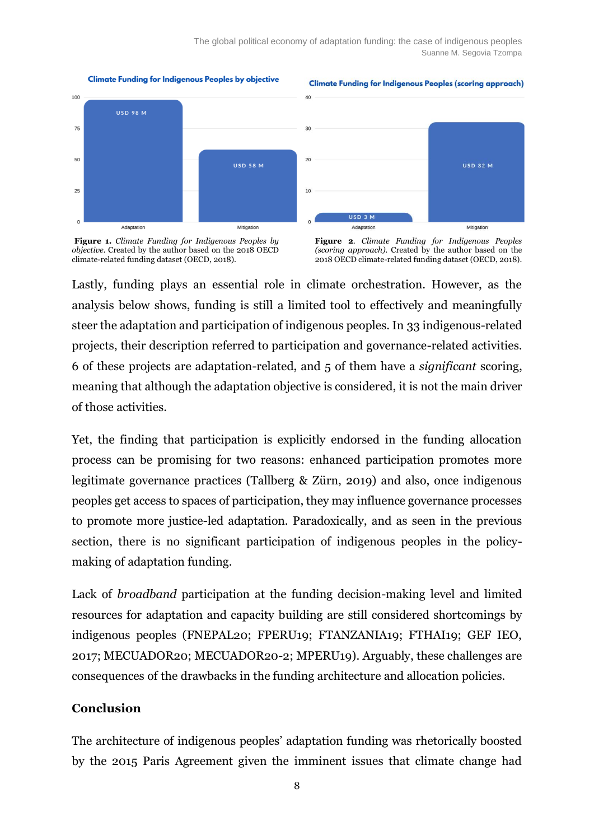The global political economy of adaptation funding: the case of indigenous peoples Suanne M. Segovia Tzompa



Mitigation

**Climate Funding for Indigenous Peoples by objective** 

**Climate Funding for Indigenous Peoples (scoring approach)** 



**USD 32 M** 



Adaptation

**Figure 2**. *Climate Funding for Indigenous Peoples (scoring approach).* Created by the author based on the 2018 OECD climate-related funding dataset (OECD, 2018).

Lastly, funding plays an essential role in climate orchestration. However, as the analysis below shows, funding is still a limited tool to effectively and meaningfully steer the adaptation and participation of indigenous peoples. In 33 indigenous-related projects, their description referred to participation and governance-related activities. 6 of these projects are adaptation-related, and 5 of them have a *significant* scoring, meaning that although the adaptation objective is considered, it is not the main driver of those activities.

Yet, the finding that participation is explicitly endorsed in the funding allocation process can be promising for two reasons: enhanced participation promotes more legitimate governance practices (Tallberg & Zürn, 2019) and also, once indigenous peoples get access to spaces of participation, they may influence governance processes to promote more justice-led adaptation. Paradoxically, and as seen in the previous section, there is no significant participation of indigenous peoples in the policymaking of adaptation funding.

Lack of *broadband* participation at the funding decision-making level and limited resources for adaptation and capacity building are still considered shortcomings by indigenous peoples (FNEPAL20; FPERU19; FTANZANIA19; FTHAI19; GEF IEO, 2017; MECUADOR20; MECUADOR20-2; MPERU19). Arguably, these challenges are consequences of the drawbacks in the funding architecture and allocation policies.

#### **Conclusion**

The architecture of indigenous peoples' adaptation funding was rhetorically boosted by the 2015 Paris Agreement given the imminent issues that climate change had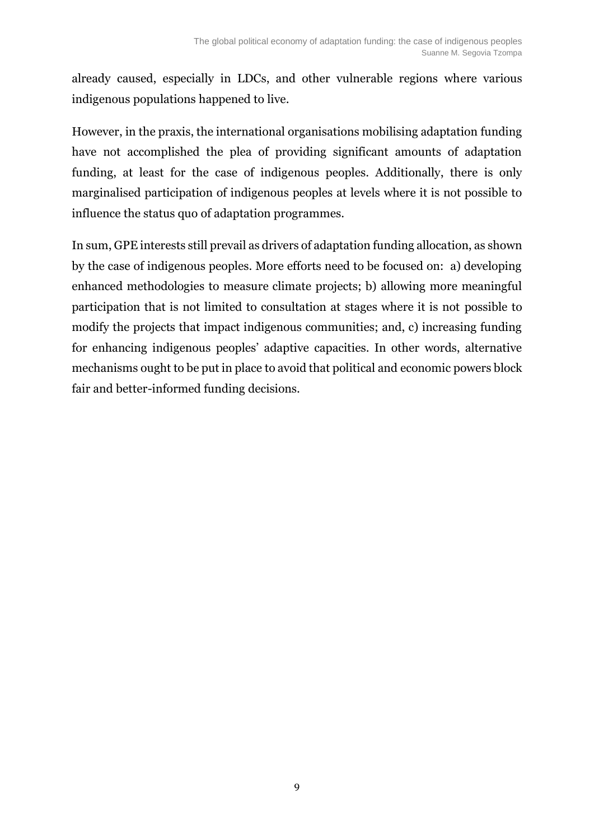already caused, especially in LDCs, and other vulnerable regions where various indigenous populations happened to live.

However, in the praxis, the international organisations mobilising adaptation funding have not accomplished the plea of providing significant amounts of adaptation funding, at least for the case of indigenous peoples. Additionally, there is only marginalised participation of indigenous peoples at levels where it is not possible to influence the status quo of adaptation programmes.

In sum, GPE interests still prevail as drivers of adaptation funding allocation, as shown by the case of indigenous peoples. More efforts need to be focused on: a) developing enhanced methodologies to measure climate projects; b) allowing more meaningful participation that is not limited to consultation at stages where it is not possible to modify the projects that impact indigenous communities; and, c) increasing funding for enhancing indigenous peoples' adaptive capacities. In other words, alternative mechanisms ought to be put in place to avoid that political and economic powers block fair and better-informed funding decisions.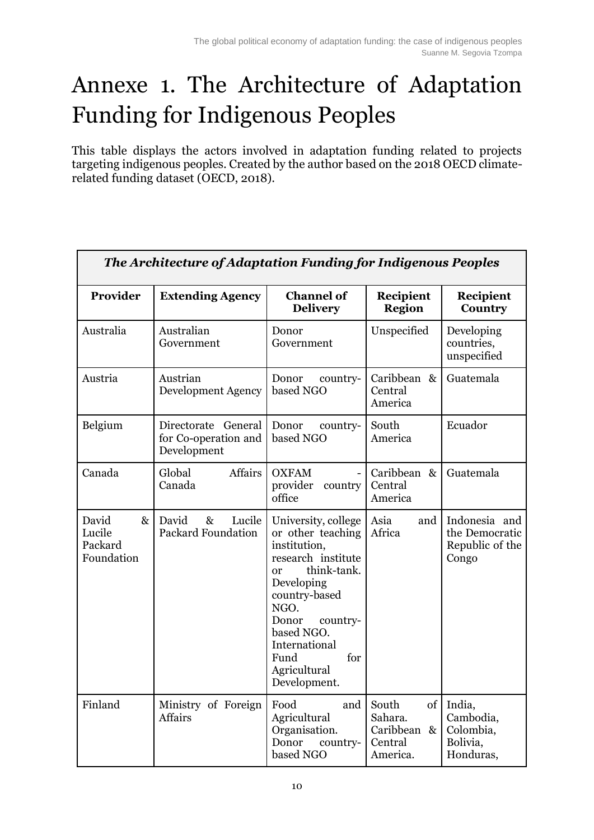# Annexe 1. The Architecture of Adaptation Funding for Indigenous Peoples

This table displays the actors involved in adaptation funding related to projects targeting indigenous peoples. Created by the author based on the 2018 OECD climaterelated funding dataset (OECD, 2018).

| The Architecture of Adaptation Funding for Indigenous Peoples |                                                            |                                                                                                                                                                                                                                               |                                                                                 |                                                             |
|---------------------------------------------------------------|------------------------------------------------------------|-----------------------------------------------------------------------------------------------------------------------------------------------------------------------------------------------------------------------------------------------|---------------------------------------------------------------------------------|-------------------------------------------------------------|
| Provider                                                      | <b>Extending Agency</b>                                    | <b>Channel of</b><br><b>Delivery</b>                                                                                                                                                                                                          | Recipient<br><b>Region</b>                                                      | Recipient<br>Country                                        |
| Australia                                                     | Australian<br>Government                                   | Unspecified<br>Donor<br>Government                                                                                                                                                                                                            |                                                                                 | Developing<br>countries,<br>unspecified                     |
| Austria                                                       | Austrian<br><b>Development Agency</b>                      | Donor<br>country-<br>based NGO                                                                                                                                                                                                                | Caribbean &<br>Central<br>America                                               | Guatemala                                                   |
| Belgium                                                       | Directorate General<br>for Co-operation and<br>Development | Donor<br>country-<br>based NGO                                                                                                                                                                                                                | South<br>America                                                                | Ecuador                                                     |
| Canada                                                        | <b>Affairs</b><br>Global<br>Canada                         | <b>OXFAM</b><br>provider<br>country<br>office                                                                                                                                                                                                 | Caribbean &<br>Central<br>America                                               | Guatemala                                                   |
| David<br>$\&$<br>Lucile<br>Packard<br>Foundation              | David<br>$\&$<br>Lucile<br><b>Packard Foundation</b>       | University, college<br>or other teaching<br>institution,<br>research institute<br>think-tank.<br>or<br>Developing<br>country-based<br>NGO.<br>Donor<br>country-<br>based NGO.<br>International<br>for<br>Fund<br>Agricultural<br>Development. | Asia<br>and<br>Africa                                                           | Indonesia and<br>the Democratic<br>Republic of the<br>Congo |
| Finland                                                       | Ministry of Foreign<br><b>Affairs</b>                      | Food<br>and<br>Agricultural<br>Organisation.<br>Donor<br>country-<br>based NGO                                                                                                                                                                | South<br>of <sub>l</sub><br>Sahara.<br>Caribbean<br>$\&$<br>Central<br>America. | India,<br>Cambodia,<br>Colombia,<br>Bolivia,<br>Honduras,   |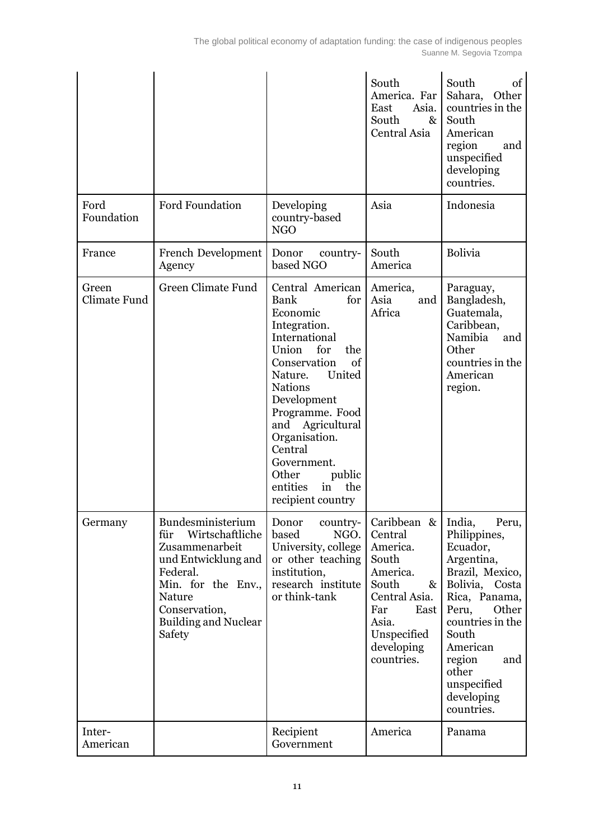|                       |                                                                                                                                                                                            |                                                                                                                                                                                                                                                                                                                                       | South<br>America. Far<br>Asia.<br>East<br>South<br>$\&$<br>Central Asia                                                                                        | South<br>of<br>Sahara,<br>Other<br>countries in the<br>South<br>American<br>region<br>and<br>unspecified<br>developing<br>countries.                                                                                                            |
|-----------------------|--------------------------------------------------------------------------------------------------------------------------------------------------------------------------------------------|---------------------------------------------------------------------------------------------------------------------------------------------------------------------------------------------------------------------------------------------------------------------------------------------------------------------------------------|----------------------------------------------------------------------------------------------------------------------------------------------------------------|-------------------------------------------------------------------------------------------------------------------------------------------------------------------------------------------------------------------------------------------------|
| Ford<br>Foundation    | <b>Ford Foundation</b>                                                                                                                                                                     | Developing<br>country-based<br>NGO                                                                                                                                                                                                                                                                                                    | Asia                                                                                                                                                           | Indonesia                                                                                                                                                                                                                                       |
| France                | French Development<br>Agency                                                                                                                                                               | Donor<br>country-<br>based NGO                                                                                                                                                                                                                                                                                                        | South<br>America                                                                                                                                               |                                                                                                                                                                                                                                                 |
| Green<br>Climate Fund | Green Climate Fund                                                                                                                                                                         | Central American<br>Bank<br>for<br>Economic<br>Integration.<br>International<br>Union<br>for<br>the<br>Conservation<br>of<br>United<br>Nature.<br><b>Nations</b><br>Development<br>Programme. Food<br>and<br>Agricultural<br>Organisation.<br>Central<br>Government.<br>Other<br>public<br>entities<br>the<br>in<br>recipient country | America,<br>Asia<br>and<br>Africa                                                                                                                              | Paraguay,<br>Bangladesh,<br>Guatemala,<br>Caribbean,<br>Namibia<br>and<br>Other<br>countries in the<br>American<br>region.                                                                                                                      |
| Germany               | Bundesministerium<br>Wirtschaftliche<br>für<br>Zusammenarbeit<br>und Entwicklung and<br>Federal.<br>Min. for the Env.,<br>Nature<br>Conservation,<br><b>Building and Nuclear</b><br>Safety | Donor<br>country-<br>NGO.<br>based<br>University, college<br>or other teaching<br>institution,<br>research institute<br>or think-tank                                                                                                                                                                                                 | Caribbean $\&$  <br>Central<br>America.<br>South<br>America.<br>South<br>&<br>Central Asia.<br>Far<br>East<br>Asia.<br>Unspecified<br>developing<br>countries. | India,<br>Peru,<br>Philippines,<br>Ecuador,<br>Argentina,<br>Brazil, Mexico,<br>Bolivia, Costa<br>Rica, Panama,<br>Peru,<br>Other<br>countries in the<br>South<br>American<br>region<br>and<br>other<br>unspecified<br>developing<br>countries. |
| Inter-<br>American    |                                                                                                                                                                                            | Recipient<br>Government                                                                                                                                                                                                                                                                                                               | America                                                                                                                                                        | Panama                                                                                                                                                                                                                                          |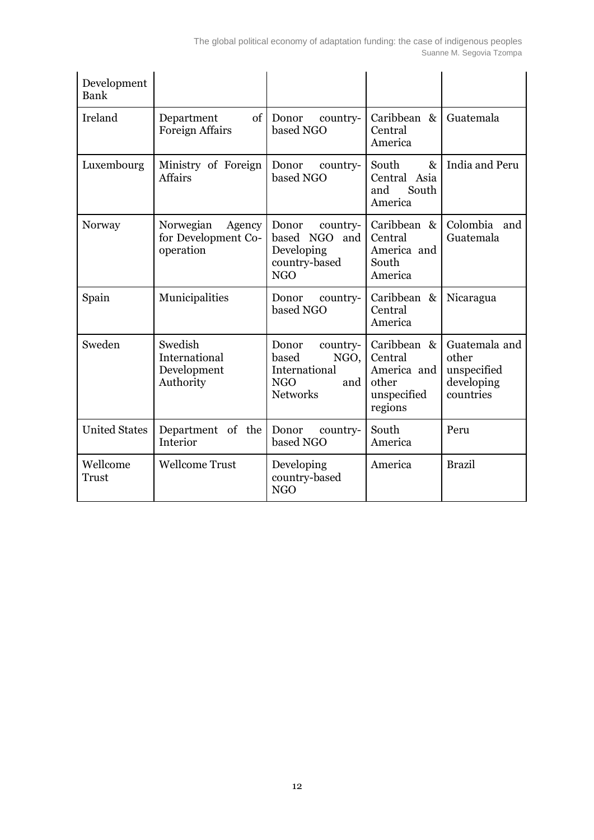| Development<br>Bank  |                                                         |                                                                                             |                                                                          |                                                                  |
|----------------------|---------------------------------------------------------|---------------------------------------------------------------------------------------------|--------------------------------------------------------------------------|------------------------------------------------------------------|
| Ireland              | of<br>Department<br><b>Foreign Affairs</b>              | Donor<br>country-<br>based NGO                                                              | Caribbean &<br>Central<br>America                                        | Guatemala                                                        |
| Luxembourg           | Ministry of Foreign<br>Affairs                          | Donor<br>country-<br>based NGO                                                              | South<br>$\&$<br>Central Asia<br>South<br>and<br>America                 | India and Peru                                                   |
| Norway               | Norwegian<br>Agency<br>for Development Co-<br>operation | Donor<br>country-<br>based NGO and<br>Developing<br>country-based<br><b>NGO</b>             | Caribbean &<br>Central<br>America and<br>South<br>America                | Colombia and<br>Guatemala                                        |
| Spain                | Municipalities                                          | Donor<br>country-<br>based NGO                                                              | Caribbean &<br>Central<br>America                                        | Nicaragua                                                        |
| Sweden               | Swedish<br>International<br>Development<br>Authority    | Donor<br>country-<br>based<br>NGO,<br>International<br><b>NGO</b><br>and<br><b>Networks</b> | Caribbean &<br>Central<br>America and<br>other<br>unspecified<br>regions | Guatemala and<br>other<br>unspecified<br>developing<br>countries |
| <b>United States</b> | Department of the<br>Interior                           | Donor<br>country-<br>based NGO                                                              | South<br>America                                                         | Peru                                                             |
| Wellcome<br>Trust    | <b>Wellcome Trust</b>                                   | Developing<br>country-based<br><b>NGO</b>                                                   | America                                                                  | <b>Brazil</b>                                                    |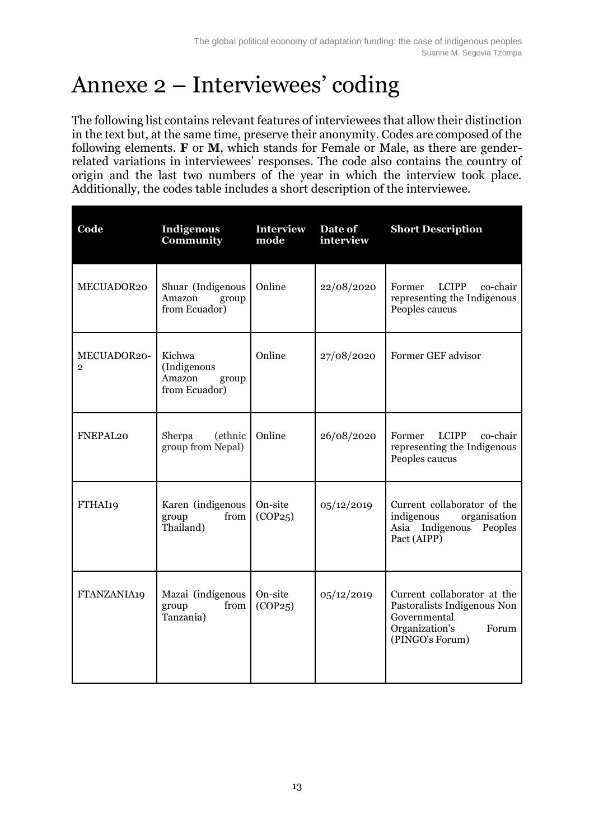## Annexe 2 – Interviewees' coding

The following list contains relevant features of interviewees that allow their distinction in the text but, at the same time, preserve their anonymity. Codes are composed of the following elements. **F** or **M**, which stands for Female or Male, as there are genderrelated variations in interviewees' responses. The code also contains the country of origin and the last two numbers of the year in which the interview took place. Additionally, the codes table includes a short description of the interviewee.

| Code                          | <b>Indigenous</b><br>Community                            | <b>Interview</b><br>mode | Date of<br>interview | <b>Short Description</b>                                                                                                 |
|-------------------------------|-----------------------------------------------------------|--------------------------|----------------------|--------------------------------------------------------------------------------------------------------------------------|
| MECUADOR20                    | Shuar (Indigenous<br>Amazon<br>group<br>from Ecuador)     | Online                   | 22/08/2020           | Former<br><b>LCIPP</b><br>co-chair<br>representing the Indigenous<br>Peoples caucus                                      |
| MECUADOR20-<br>$\overline{2}$ | Kichwa<br>(Indigenous<br>Amazon<br>group<br>from Ecuador) | Online                   | 27/08/2020           | Former GEF advisor                                                                                                       |
| FNEPAL <sub>20</sub>          | (ethnic<br>Sherpa<br>group from Nepal)                    | Online                   | 26/08/2020           | <b>LCIPP</b><br>co-chair<br>Former<br>representing the Indigenous<br>Peoples caucus                                      |
| FTHAI19                       | Karen (indigenous<br>from<br>group<br>Thailand)           | On-site<br>(COP25)       | 05/12/2019           | Current collaborator of the<br>organisation<br>indigenous<br>Asia Indigenous<br>Peoples<br>Pact (AIPP)                   |
| FTANZANIA19                   | Mazai (indigenous<br>from<br>group<br>Tanzania)           | On-site<br>(COP25)       | 05/12/2019           | Current collaborator at the<br>Pastoralists Indigenous Non<br>Governmental<br>Organization's<br>Forum<br>(PINGO's Forum) |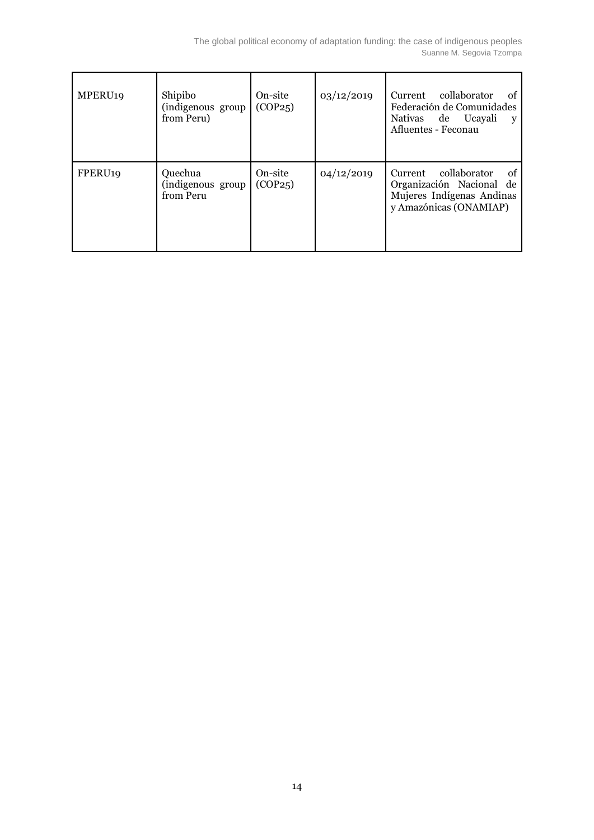| MPERU <sub>19</sub> | Shipibo<br>(indigenous group<br>from Peru) | On-site<br>(COP25) | 03/12/2019 | Current collaborator<br>0t<br>Federación de Comunidades<br>Nativas de Ucayali<br>V<br>Afluentes - Feconau     |
|---------------------|--------------------------------------------|--------------------|------------|---------------------------------------------------------------------------------------------------------------|
| FPERU <sub>19</sub> | Quechua<br>(indigenous group<br>from Peru  | On-site<br>(COP25) | 04/12/2019 | Current collaborator<br>of<br>Organización Nacional de<br>Mujeres Indígenas Andinas<br>y Amazónicas (ONAMIAP) |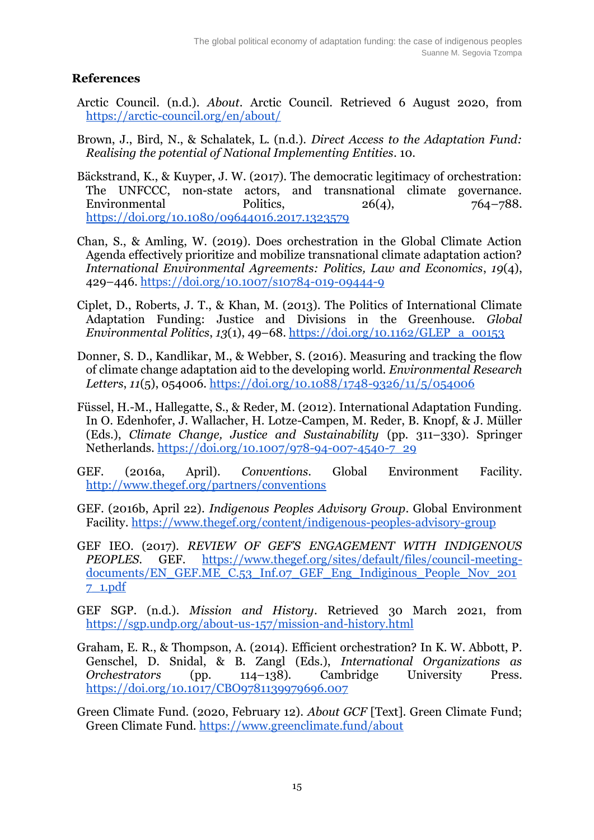### **References**

- Arctic Council. (n.d.). *About*. Arctic Council. Retrieved 6 August 2020, fro[m](https://arctic-council.org/en/about/) <https://arctic-council.org/en/about/>
- Brown, J., Bird, N., & Schalatek, L. (n.d.). *Direct Access to the Adaptation Fund: Realising the potential of National Implementing Entities*. 10.
- Bäckstrand, K., & Kuyper, J. W. (2017). The democratic legitimacy of orchestration: The UNFCCC, non-state actors, and transnational climate governance. Environmental Politics, 26(4), 764–788[.](https://doi.org/10.1080/09644016.2017.1323579) <https://doi.org/10.1080/09644016.2017.1323579>
- Chan, S., & Amling, W. (2019). Does orchestration in the Global Climate Action Agenda effectively prioritize and mobilize transnational climate adaptation action? *International Environmental Agreements: Politics, Law and Economics*, *19*(4), 429–446[.](https://doi.org/10.1007/s10784-019-09444-9) <https://doi.org/10.1007/s10784-019-09444-9>
- Ciplet, D., Roberts, J. T., & Khan, M. (2013). The Politics of International Climate Adaptation Funding: Justice and Divisions in the Greenhouse. *Global Environmental Politics*, *13*(1), 49–68[.](https://doi.org/10.1162/GLEP_a_00153) [https://doi.org/10.1162/GLEP\\_a\\_00153](https://doi.org/10.1162/GLEP_a_00153)
- Donner, S. D., Kandlikar, M., & Webber, S. (2016). Measuring and tracking the flow of climate change adaptation aid to the developing world. *Environmental Research Letters*, *11*(5), 054006[.](https://doi.org/10.1088/1748-9326/11/5/054006) <https://doi.org/10.1088/1748-9326/11/5/054006>
- Füssel, H.-M., Hallegatte, S., & Reder, M. (2012). International Adaptation Funding. In O. Edenhofer, J. Wallacher, H. Lotze-Campen, M. Reder, B. Knopf, & J. Müller (Eds.), *Climate Change, Justice and Sustainability* (pp. 311–330). Springer Netherlands. [https://doi.org/10.1007/978-94-007-4540-7\\_29](https://doi.org/10.1007/978-94-007-4540-7_29)
- GEF. (2016a, April). *Conventions*. Global Environment Facility[.](http://www.thegef.org/partners/conventions) <http://www.thegef.org/partners/conventions>
- GEF. (2016b, April 22). *Indigenous Peoples Advisory Group*. Global Environment Facility[.](https://www.thegef.org/content/indigenous-peoples-advisory-group) <https://www.thegef.org/content/indigenous-peoples-advisory-group>
- GEF IEO. (2017). *REVIEW OF GEF'S ENGAGEMENT WITH INDIGENOUS PEOPLES*. GEF[.](https://www.thegef.org/sites/default/files/council-meeting-documents/EN_GEF.ME_C.53_Inf.07_GEF_Eng_Indiginous_People_Nov_2017_1.pdf) [https://www.thegef.org/sites/default/files/council-meeting](https://www.thegef.org/sites/default/files/council-meeting-documents/EN_GEF.ME_C.53_Inf.07_GEF_Eng_Indiginous_People_Nov_2017_1.pdf)[documents/EN\\_GEF.ME\\_C.53\\_Inf.07\\_GEF\\_Eng\\_Indiginous\\_People\\_Nov\\_201](https://www.thegef.org/sites/default/files/council-meeting-documents/EN_GEF.ME_C.53_Inf.07_GEF_Eng_Indiginous_People_Nov_2017_1.pdf) [7\\_1.pdf](https://www.thegef.org/sites/default/files/council-meeting-documents/EN_GEF.ME_C.53_Inf.07_GEF_Eng_Indiginous_People_Nov_2017_1.pdf)
- GEF SGP. (n.d.). *Mission and History*. Retrieved 30 March 2021, fro[m](https://sgp.undp.org/about-us-157/mission-and-history.html) <https://sgp.undp.org/about-us-157/mission-and-history.html>
- Graham, E. R., & Thompson, A. (2014). Efficient orchestration? In K. W. Abbott, P. Genschel, D. Snidal, & B. Zangl (Eds.), *International Organizations as Orchestrators* (pp. 114–138). Cambridge University Press[.](https://doi.org/10.1017/CBO9781139979696.007) <https://doi.org/10.1017/CBO9781139979696.007>
- Green Climate Fund. (2020, February 12). *About GCF* [Text]. Green Climate Fund; Green Climate Fund. <https://www.greenclimate.fund/about>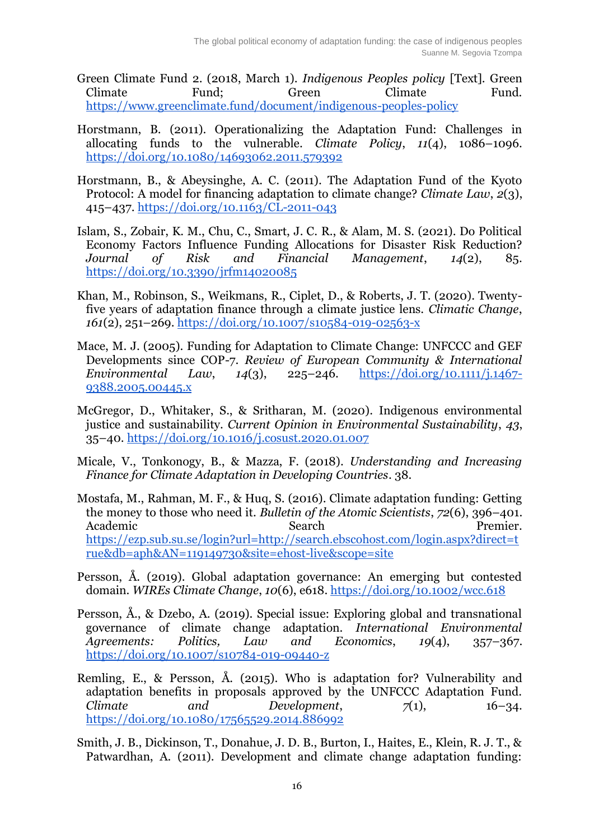- Green Climate Fund 2. (2018, March 1). *Indigenous Peoples policy* [Text]. Green Climate Fund; Green Climate Fund[.](https://www.greenclimate.fund/document/indigenous-peoples-policy) <https://www.greenclimate.fund/document/indigenous-peoples-policy>
- Horstmann, B. (2011). Operationalizing the Adaptation Fund: Challenges in allocating funds to the vulnerable. *Climate Policy*, *11*(4), 1086–1096[.](https://doi.org/10.1080/14693062.2011.579392) <https://doi.org/10.1080/14693062.2011.579392>
- Horstmann, B., & Abeysinghe, A. C. (2011). The Adaptation Fund of the Kyoto Protocol: A model for financing adaptation to climate change? *Climate Law*, *2*(3), 415–437[.](https://doi.org/10.1163/CL-2011-043) <https://doi.org/10.1163/CL-2011-043>
- Islam, S., Zobair, K. M., Chu, C., Smart, J. C. R., & Alam, M. S. (2021). Do Political Economy Factors Influence Funding Allocations for Disaster Risk Reduction? *Journal of Risk and Financial Management*, *14*(2), 85[.](https://doi.org/10.3390/jrfm14020085) <https://doi.org/10.3390/jrfm14020085>
- Khan, M., Robinson, S., Weikmans, R., Ciplet, D., & Roberts, J. T. (2020). Twentyfive years of adaptation finance through a climate justice lens. *Climatic Change*, *161*(2), 251–269[.](https://doi.org/10.1007/s10584-019-02563-x) <https://doi.org/10.1007/s10584-019-02563-x>
- Mace, M. J. (2005). Funding for Adaptation to Climate Change: UNFCCC and GEF Developments since COP-7. *Review of European Community & International Environmental Law*, *14*(3), 225–246[.](https://doi.org/10.1111/j.1467-9388.2005.00445.x) [https://doi.org/10.1111/j.1467-](https://doi.org/10.1111/j.1467-9388.2005.00445.x) [9388.2005.00445.x](https://doi.org/10.1111/j.1467-9388.2005.00445.x)
- McGregor, D., Whitaker, S., & Sritharan, M. (2020). Indigenous environmental justice and sustainability. *Current Opinion in Environmental Sustainability*, *43*, 35–40[.](https://doi.org/10.1016/j.cosust.2020.01.007) <https://doi.org/10.1016/j.cosust.2020.01.007>
- Micale, V., Tonkonogy, B., & Mazza, F. (2018). *Understanding and Increasing Finance for Climate Adaptation in Developing Countries*. 38.
- Mostafa, M., Rahman, M. F., & Huq, S. (2016). Climate adaptation funding: Getting the money to those who need it. *Bulletin of the Atomic Scientists*, *72*(6), 396–401. Academic Search Search Premier[.](https://ezp.sub.su.se/login?url=http://search.ebscohost.com/login.aspx?direct=true&db=aph&AN=119149730&site=ehost-live&scope=site) [https://ezp.sub.su.se/login?url=http://search.ebscohost.com/login.aspx?direct=t](https://ezp.sub.su.se/login?url=http://search.ebscohost.com/login.aspx?direct=true&db=aph&AN=119149730&site=ehost-live&scope=site) [rue&db=aph&AN=119149730&site=ehost-live&scope=site](https://ezp.sub.su.se/login?url=http://search.ebscohost.com/login.aspx?direct=true&db=aph&AN=119149730&site=ehost-live&scope=site)
- Persson, Å. (2019). Global adaptation governance: An emerging but contested domain. *WIREs Climate Change*, *10*(6), e618[.](https://doi.org/10.1002/wcc.618) <https://doi.org/10.1002/wcc.618>
- Persson, Å., & Dzebo, A. (2019). Special issue: Exploring global and transnational governance of climate change adaptation. *International Environmental Agreements: Politics, Law and Economics*, *19*(4), 357–367[.](https://doi.org/10.1007/s10784-019-09440-z) <https://doi.org/10.1007/s10784-019-09440-z>
- Remling, E., & Persson, Å. (2015). Who is adaptation for? Vulnerability and adaptation benefits in proposals approved by the UNFCCC Adaptation Fund. *Climate* and *Development*,  $7(1)$ , 16–34[.](https://doi.org/10.1080/17565529.2014.886992) <https://doi.org/10.1080/17565529.2014.886992>
- Smith, J. B., Dickinson, T., Donahue, J. D. B., Burton, I., Haites, E., Klein, R. J. T., & Patwardhan, A. (2011). Development and climate change adaptation funding: